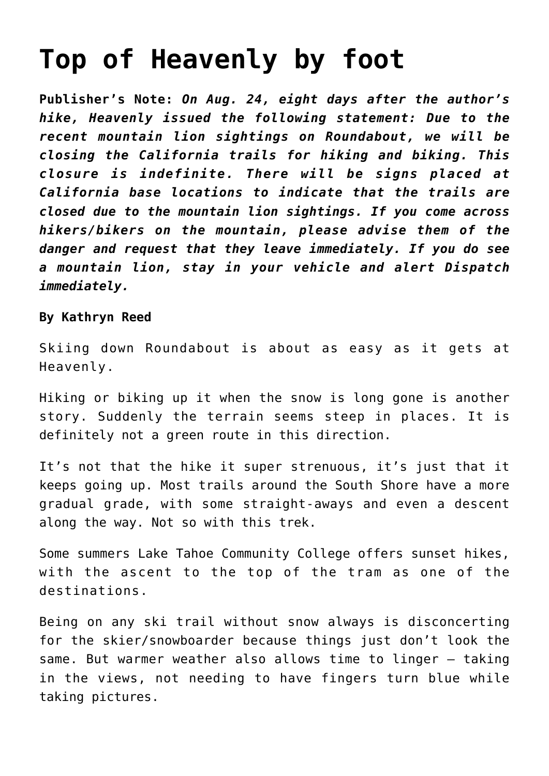## **[Top of Heavenly by foot](https://www.laketahoenews.net/2009/09/top-of-heavenly-by-foot/)**

**Publisher's Note:** *On Aug. 24, eight days after the author's hike, Heavenly issued the following statement: Due to the recent mountain lion sightings on Roundabout, we will be closing the California trails for hiking and biking. This closure is indefinite. There will be signs placed at California base locations to indicate that the trails are closed due to the mountain lion sightings. If you come across hikers/bikers on the mountain, please advise them of the danger and request that they leave immediately. If you do see a mountain lion, stay in your vehicle and alert Dispatch immediately.*

#### **By Kathryn Reed**

Skiing down Roundabout is about as easy as it gets at Heavenly.

Hiking or biking up it when the snow is long gone is another story. Suddenly the terrain seems steep in places. It is definitely not a green route in this direction.

It's not that the hike it super strenuous, it's just that it keeps going up. Most trails around the South Shore have a more gradual grade, with some straight-aways and even a descent along the way. Not so with this trek.

Some summers Lake Tahoe Community College offers sunset hikes, with the ascent to the top of the tram as one of the destinations.

Being on any ski trail without snow always is disconcerting for the skier/snowboarder because things just don't look the same. But warmer weather also allows time to linger — taking in the views, not needing to have fingers turn blue while taking pictures.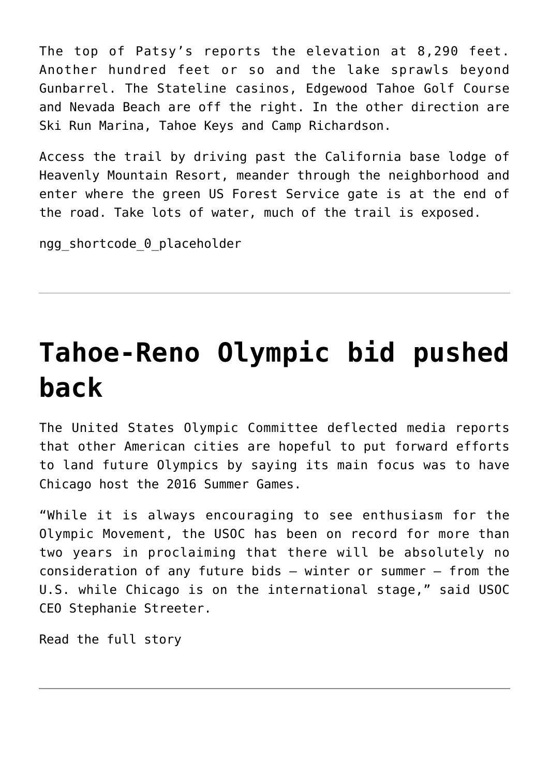The top of Patsy's reports the elevation at 8,290 feet. Another hundred feet or so and the lake sprawls beyond Gunbarrel. The Stateline casinos, Edgewood Tahoe Golf Course and Nevada Beach are off the right. In the other direction are Ski Run Marina, Tahoe Keys and Camp Richardson.

Access the trail by driving past the California base lodge of Heavenly Mountain Resort, meander through the neighborhood and enter where the green US Forest Service gate is at the end of the road. Take lots of water, much of the trail is exposed.

ngg shortcode 0 placeholder

# **[Tahoe-Reno Olympic bid pushed](https://www.laketahoenews.net/2009/09/reno-tahoe-olympic-bid-pushed-back/) [back](https://www.laketahoenews.net/2009/09/reno-tahoe-olympic-bid-pushed-back/)**

The United States Olympic Committee deflected media reports that other American cities are hopeful to put forward efforts to land future Olympics by saying its main focus was to have Chicago host the 2016 Summer Games.

"While it is always encouraging to see enthusiasm for the Olympic Movement, the USOC has been on record for more than two years in proclaiming that there will be absolutely no consideration of any future bids – winter or summer – from the U.S. while Chicago is on the international stage," said USOC CEO Stephanie Streeter.

[Read the full story](http://www.thesunnews.com/652/story/1016930.html)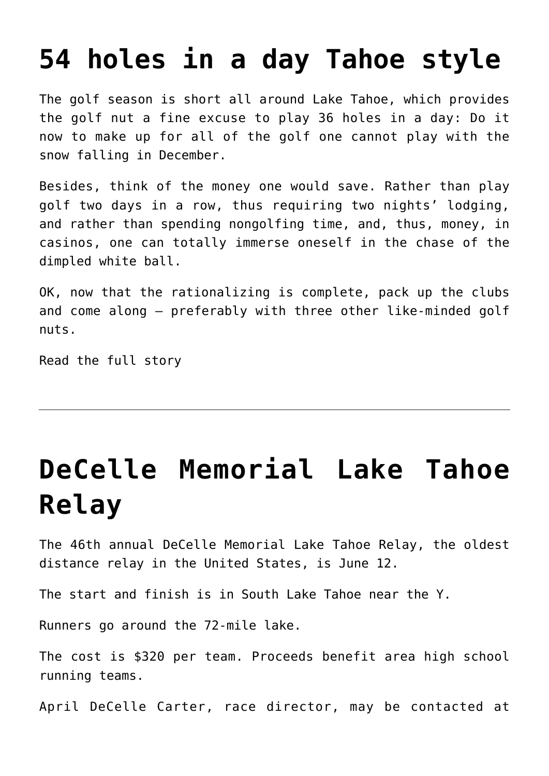### **[54 holes in a day Tahoe style](https://www.laketahoenews.net/2009/09/54-holes-in-a-day-tahoe-style/)**

The golf season is short all around Lake Tahoe, which provides the golf nut a fine excuse to play 36 holes in a day: Do it now to make up for all of the golf one cannot play with the snow falling in December.

Besides, think of the money one would save. Rather than play golf two days in a row, thus requiring two nights' lodging, and rather than spending nongolfing time, and, thus, money, in casinos, one can totally immerse oneself in the chase of the dimpled white ball.

OK, now that the rationalizing is complete, pack up the clubs and come along – preferably with three other like-minded golf nuts.

[Read the full story](http://www.sfgate.com/cgi-bin/article.cgi?f=/c/a/2009/08/07/TRBM190FM7.DTL)

# **[DeCelle Memorial Lake Tahoe](https://www.laketahoenews.net/-0001/11/decelle-memorial-lake-tahoe-relay-2/) [Relay](https://www.laketahoenews.net/-0001/11/decelle-memorial-lake-tahoe-relay-2/)**

The 46th annual DeCelle Memorial Lake Tahoe Relay, the oldest distance relay in the United States, is June 12.

The start and finish is in South Lake Tahoe near the Y.

Runners go around the 72-mile lake.

The cost is \$320 per team. Proceeds benefit area high school running teams.

April DeCelle Carter, race director, may be contacted at